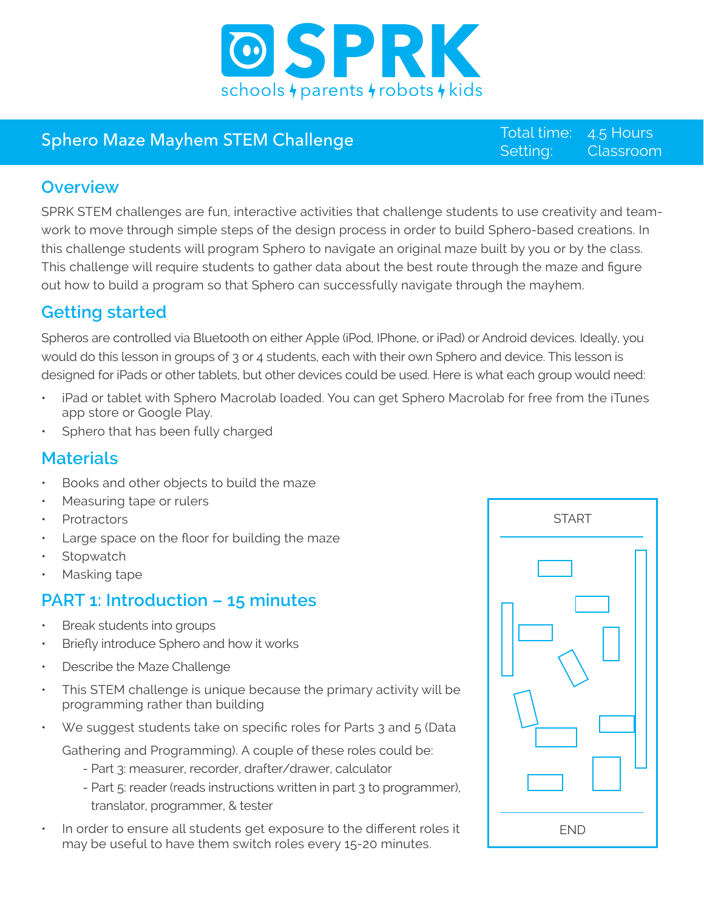

## Sphero Maze Mayhem STEM Challenge

Setting: Total time: 4.5 Hours Classroom

#### **Overview**

SPRK STEM challenges are fun, interactive activities that challenge students to use creativity and teamwork to move through simple steps of the design process in order to build Sphero-based creations. In this challenge students will program Sphero to navigate an original maze built by you or by the class. This challenge will require students to gather data about the best route through the maze and figure out how to build a program so that Sphero can successfully navigate through the mayhem.

## **Getting started**

Spheros are controlled via Bluetooth on either Apple (iPod, IPhone, or iPad) or Android devices. Ideally, you would do this lesson in groups of 3 or 4 students, each with their own Sphero and device. This lesson is designed for iPads or other tablets, but other devices could be used. Here is what each group would need:

- iPad or tablet with Sphero Macrolab loaded. You can get Sphero Macrolab for free from the iTunes app store or Google Play.
- Sphero that has been fully charged

#### **Materials**

- Books and other objects to build the maze
- Measuring tape or rulers
- **Protractors**
- Large space on the floor for building the maze
- **Stopwatch**
- Masking tape

### **PART 1: Introduction – 15 minutes**

- Break students into groups
- Briefly introduce Sphero and how it works
- Describe the Maze Challenge
- This STEM challenge is unique because the primary activity will be programming rather than building
- We suggest students take on specific roles for Parts 3 and 5 (Data

Gathering and Programming). A couple of these roles could be:

- Part 3: measurer, recorder, drafter/drawer, calculator
- Part 5: reader (reads instructions written in part 3 to programmer), translator, programmer, & tester
- In order to ensure all students get exposure to the different roles it may be useful to have them switch roles every 15-20 minutes.

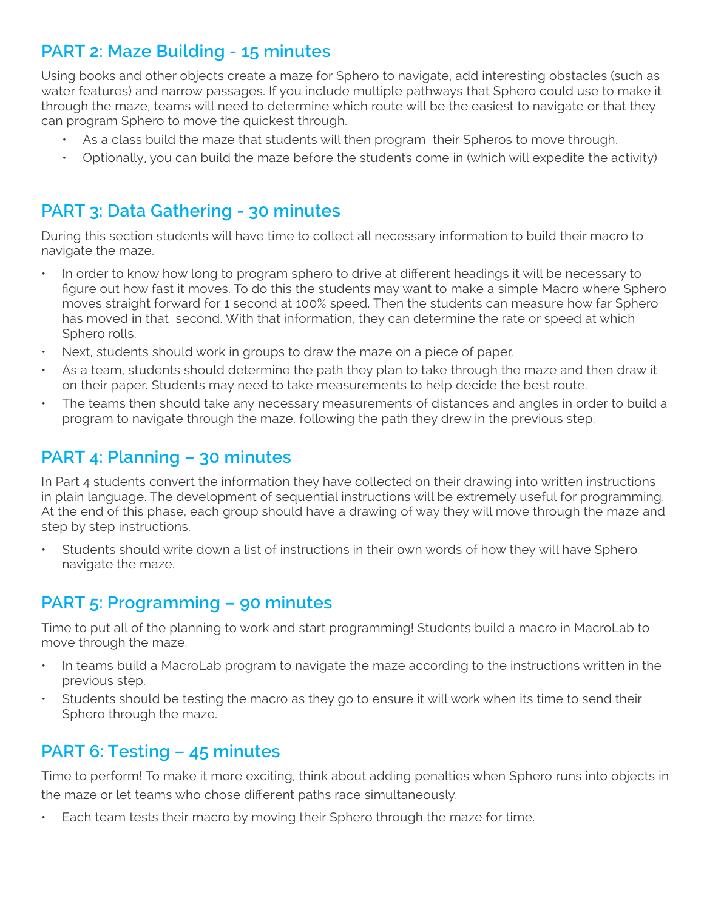## **PART 2: Maze Building - 15 minutes**

Using books and other objects create a maze for Sphero to navigate, add interesting obstacles (such as water features) and narrow passages. If you include multiple pathways that Sphero could use to make it through the maze, teams will need to determine which route will be the easiest to navigate or that they can program Sphero to move the quickest through.

- As a class build the maze that students will then program their Spheros to move through.
- Optionally, you can build the maze before the students come in (which will expedite the activity)

#### **PART 3: Data Gathering - 30 minutes**

During this section students will have time to collect all necessary information to build their macro to navigate the maze.

- In order to know how long to program sphero to drive at different headings it will be necessary to figure out how fast it moves. To do this the students may want to make a simple Macro where Sphero moves straight forward for 1 second at 100% speed. Then the students can measure how far Sphero has moved in that second. With that information, they can determine the rate or speed at which Sphero rolls.
- Next, students should work in groups to draw the maze on a piece of paper.
- As a team, students should determine the path they plan to take through the maze and then draw it on their paper. Students may need to take measurements to help decide the best route.
- The teams then should take any necessary measurements of distances and angles in order to build a program to navigate through the maze, following the path they drew in the previous step.

### **PART 4: Planning – 30 minutes**

In Part 4 students convert the information they have collected on their drawing into written instructions in plain language. The development of sequential instructions will be extremely useful for programming. At the end of this phase, each group should have a drawing of way they will move through the maze and step by step instructions.

Students should write down a list of instructions in their own words of how they will have Sphero navigate the maze.

#### **PART 5: Programming – 90 minutes**

Time to put all of the planning to work and start programming! Students build a macro in MacroLab to move through the maze.

- In teams build a MacroLab program to navigate the maze according to the instructions written in the previous step.
- Students should be testing the macro as they go to ensure it will work when its time to send their Sphero through the maze.

#### **PART 6: Testing – 45 minutes**

Time to perform! To make it more exciting, think about adding penalties when Sphero runs into objects in the maze or let teams who chose different paths race simultaneously.

Each team tests their macro by moving their Sphero through the maze for time.